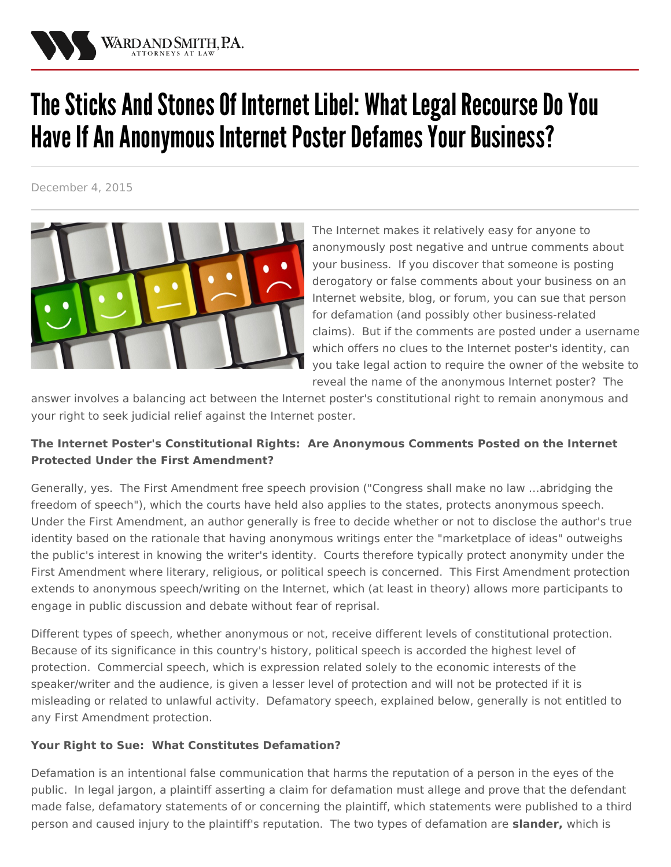

# The Sticks And Stones Of Internet Libel: What Legal Recourse Do You Have If An Anonymous Internet Poster Defames Your Business?

December 4, 2015



The Internet makes it relatively easy for anyone to anonymously post negative and untrue comments about your business. If you discover that someone is posting derogatory or false comments about your business on an Internet website, blog, or forum, you can sue that person for defamation (and possibly other [business-related](/practices/litigation) claims). But if the comments are posted under a username which offers no clues to the Internet poster's identity, can you take legal action to require the owner of the website to reveal the name of the anonymous Internet poster? The

answer involves a balancing act between the Internet poster's [constitutional](/practices/privacy-and-information-security-law) right to remain anonymous and your right to seek judicial relief against the Internet poster.

## **The Internet Poster's Constitutional Rights: Are Anonymous Comments Posted on the Internet Protected Under the First Amendment?**

Generally, yes. The First Amendment free speech provision ("Congress shall make no law …abridging the freedom of speech"), which the courts have held also applies to the states, protects anonymous speech. Under the First Amendment, an author generally is free to decide whether or not to disclose the author's true identity based on the rationale that having anonymous writings enter the "marketplace of ideas" outweighs the public's interest in knowing the writer's identity. Courts therefore typically protect anonymity under the First Amendment where literary, religious, or political speech is concerned. This First Amendment protection extends to anonymous speech/writing on the Internet, which (at least in theory) allows more participants to engage in public discussion and debate without fear of reprisal.

Different types of speech, whether anonymous or not, receive different levels of constitutional protection. Because of its significance in this country's history, political speech is accorded the highest level of protection. Commercial speech, which is expression related solely to the economic interests of the speaker/writer and the audience, is given a lesser level of protection and will not be protected if it is misleading or related to unlawful activity. Defamatory speech, explained below, generally is not entitled to any First Amendment protection.

### **Your Right to Sue: What Constitutes Defamation?**

Defamation is an intentional false communication that harms the reputation of a person in the eyes of the public. In legal jargon, a plaintiff asserting a claim for defamation must allege and prove that the defendant made false, defamatory statements of or concerning the plaintiff, which statements were published to a third person and caused injury to the plaintiff's reputation. The two types of defamation are **slander,** which is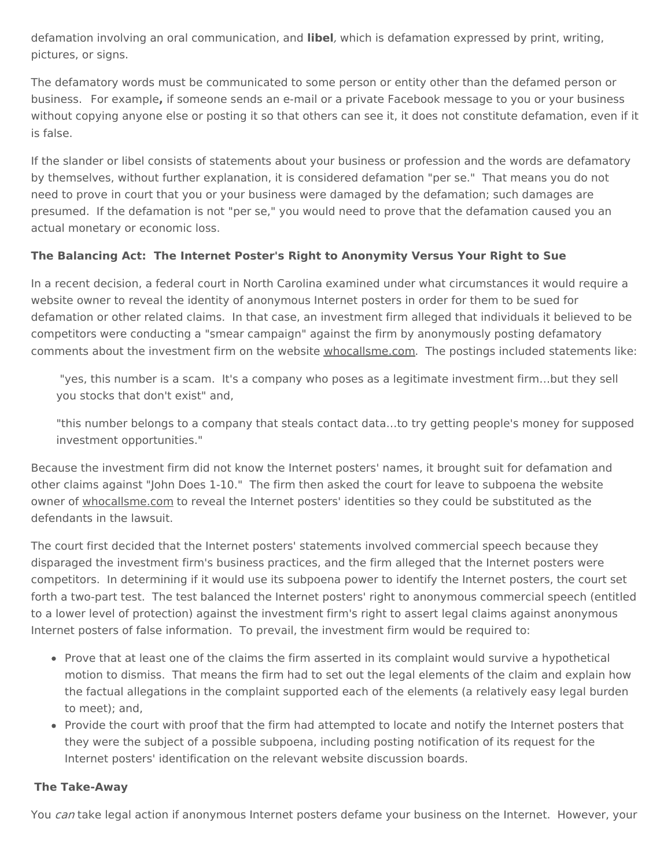defamation involving an oral communication, and **libel**, which is defamation expressed by print, writing, pictures, or signs.

The defamatory words must be communicated to some person or entity other than the defamed person or business. For example**,** if someone sends an e-mail or a private Facebook message to you or your business without copying anyone else or posting it so that others can see it, it does not constitute defamation, even if it is false.

If the slander or libel consists of statements about your business or profession and the words are defamatory by themselves, without further explanation, it is considered defamation "per se." That means you do not need to prove in court that you or your business were damaged by the defamation; such damages are presumed. If the defamation is not "per se," you would need to prove that the defamation caused you an actual monetary or economic loss.

### **The Balancing Act: The Internet Poster's Right to Anonymity Versus Your Right to Sue**

In a recent decision, a federal court in North Carolina examined under what circumstances it would require a website owner to reveal the identity of anonymous Internet posters in order for them to be sued for defamation or other related claims. In that case, an investment firm alleged that individuals it believed to be competitors were conducting a "smear campaign" against the firm by anonymously posting defamatory comments about the investment firm on the website whocallsme.com. The postings included statements like:

"yes, this number is a scam. It's a company who poses as a legitimate investment firm…but they sell you stocks that don't exist" and,

"this number belongs to a company that steals contact data…to try getting people's money for supposed investment opportunities."

Because the investment firm did not know the Internet posters' names, it brought suit for defamation and other claims against "John Does 1-10." The firm then asked the court for leave to subpoena the website owner of whocallsme.com to reveal the Internet posters' identities so they could be substituted as the defendants in the lawsuit.

The court first decided that the Internet posters' statements involved commercial speech because they disparaged the investment firm's business practices, and the firm alleged that the Internet posters were competitors. In determining if it would use its subpoena power to identify the Internet posters, the court set forth a two-part test. The test balanced the Internet posters' right to anonymous commercial speech (entitled to a lower level of protection) against the investment firm's right to assert legal claims against anonymous Internet posters of false information. To prevail, the investment firm would be required to:

- Prove that at least one of the claims the firm asserted in its complaint would survive a hypothetical motion to dismiss. That means the firm had to set out the legal elements of the claim and explain how the factual allegations in the complaint supported each of the elements (a relatively easy legal burden to meet); and,
- Provide the court with proof that the firm had attempted to locate and notify the Internet posters that they were the subject of a possible subpoena, including posting notification of its request for the Internet posters' identification on the relevant website discussion boards.

#### **The Take-Away**

You can take legal action if anonymous Internet posters defame your business on the Internet. However, your